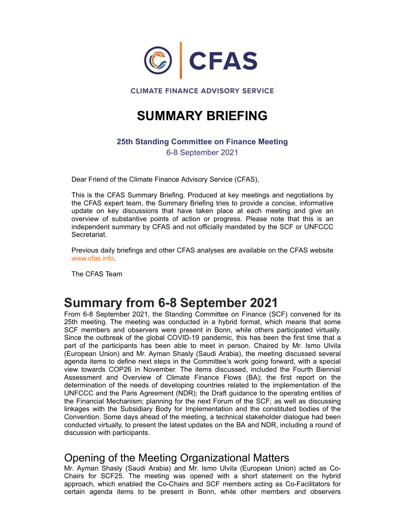

### SUMMARY BRIEFING

#### 25th Standing Committee on Finance Meeting

6-8 September 2021

Dear Friend of the Climate Finance Advisory Service (CFAS),

This is the CFAS Summary Briefing. Produced at key meetings and negotiations by the CFAS expert team, the Summary Briefing tries to provide a concise, informative **EXELUS CONTROVER CONTROVER SERVICE**<br>
SUMMARY BRIEFING<br>
25th Standing Committee on Finance Meeting<br>
6-8 September 2021<br>
Dear Friend of the Climate Finance Advisory Service (CFAS),<br>
This is the CFAS Summary Briefing. Produc overview of substantive points of action or progress. Please note that this is an independent summary by CFAS and not officially mandated by the SCF or UNFCCC Secretariat.

Previous daily briefings and other CFAS analyses are available on the CFAS website www.cfas.info.

The CFAS Team

### Summary from 6-8 September 2021

From 6-8 September 2021, the Standing Committee on Finance (SCF) convened for its 25th meeting. The meeting was conducted in a hybrid format, which means that some SCF members and observers were present in Bonn, while others participated virtually. Since the outbreak of the global COVID-19 pandemic, this has been the first time that a part of the participants has been able to meet in person. Chaired by Mr. Ismo Ulvila (European Union) and Mr. Ayman Shasly (Saudi Arabia), the meeting discussed several agenda items to define next steps in the Committee's work going forward, with a special view towards COP26 in November. The items discussed, included the Fourth Biennial wow of substantive points of a calminary bursting since the reaction of propress. Please note that this is an<br>independent summary by CFAS and not officially mandated by the SCF or UNFCCC<br>Secretariat.<br>Frevivor of substanti determination of the needs of developing countries related to the implementation of the UNFCCC and the Paris Agreement (NDR); the Draft guidance to the operating entities of the Financial Mechanism; planning for the next Forum of the SCF; as well as discussing linkages with the Subsidiary Body for Implementation and the constituted bodies of the Convention. Some days ahead of the meeting, a technical stakeholder dialogue had been conducted virtually, to present the latest updates on the BA and NDR, including a round of discussion with participants. **SCRIM METT VITT THOT THE THOT THE TRACT THE MET ALT AND THE TRACT INTERNATION CRIP TO THE TRACT SCF, members and observers were present in Bom/in (forms), which chemes and schemes and observers were present in Bom/in whil** 25th meeting. The meeting was conducted in a hybrid format, which means that some SGC members and observers were present in Bonn, while others participated virtually.<br>Since the outbreak of the global COVID-19 pandemic, thi

#### Opening of the Meeting Organizational Matters

Mr. Ayman Shasly (Saudi Arabia) and Mr. Ismo Ulvila (European Union) acted as Coapproach, which enabled the Co-Chairs and SCF members acting as Co-Facilitators for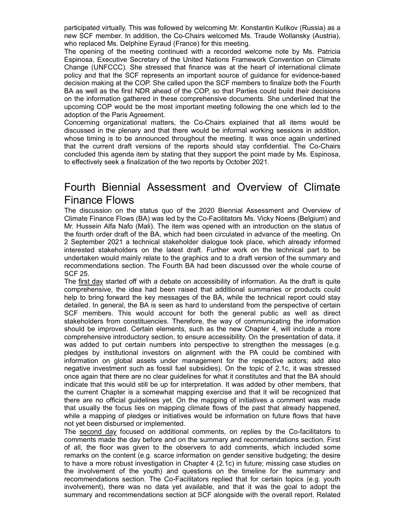participated virtually. This was followed by welcoming Mr. Konstantin Kulikov (Russia) as a new SCF member. In addition, the Co-Chairs welcomed Ms. Traude Wollansky (Austria), who replaced Ms. Delphine Eyraud (France) for this meeting.

The opening of the meeting continued with a recorded welcome note by Ms. Patricia Espinosa, Executive Secretary of the United Nations Framework Convention on Climate Change (UNFCCC). She stressed that finance was at the heart of international climate policy and that the SCF represents an important source of guidance for evidence-based decision making at the COP. She called upon the SCF members to finalize both the Fourth BA as well as the first NDR ahead of the COP, so that Parties could build their decisions on the information gathered in these comprehensive documents. She underlined that the upcoming COP would be the most important meeting following the one which led to the adoption of the Paris Agreement. participated virtually. This was followed by welcoming Mr. Konstantin Kulikov (Russia) as a<br>new SCF member. In addition, the Co-Chairs welcomed Ms. Traude Wollansky (Austria),<br>the opening of the meeting continued with a re participated virtually. This was followed by welcoming Mr. Konstantin Kulikov (Russia) as a<br>new SCF member. In addition, the Co-Chairs welcomed Ms. Traude Wollansky (Austria),<br>who replaced Ms. Delphine Eyraud (France) for participated virtually. This was followed by welcoming Mr. Konstantin Kullkov (Russia) as a<br>new SCF member. In addition, the Co-Chairs welcomed Ms. Traude Wollansky (Austria),<br>who replaced Ms. Delphinle Eyratol (France) fo

discussed in the plenary and that there would be informal working sessions in addition, whose timing is to be announced throughout the meeting. It was once again underlined concluded this agenda item by stating that they support the point made by Ms. Espinosa, to effectively seek a finalization of the two reports by October 2021.

# Finance Flows

The discussion on the status quo of the 2020 Biennial Assessment and Overview of Climate Finance Flows (BA) was led by the Co-Facilitators Ms. Vicky Noens (Belgium) and Mr. Hussein Alfa Nafo (Mali). The item was opened with an introduction on the status of the fourth order draft of the BA, which had been circulated in advance of the meeting. On 2 September 2021 a technical stakeholder dialogue took place, which already informed From the matter of the Cor. She called the CoP, she called upon the SCF members to finalize both the Fourth of the CoP. She called upon the SCF members to finalize both the Fourth on the information grotP would be the coP, undertaken would mainly relate to the graphics and to a draft version of the summary and recommendations section. The Fourth BA had been discussed over the whole course of SCF 25.

The first day started off with a debate on accessibility of information. As the draft is quite comprehensive, the idea had been raised that additional summaries or products could help to bring forward the key messages of the BA, while the technical report could stay detailed. In general, the BA is seen as hard to understand from the perspective of certain that the current death of the general services of the proports. School as the contributed this approach the public co-Chains to diffectively seek a finalization of the two reports by October 2021.<br>
Fourth Biennial Assessme stakeholders from constituencies. Therefore, the way of communicating the information should be improved. Certain elements, such as the new Chapter 4, will include a more comprehensive introductory section, to ensure accessibility. On the presentation of data, it was added to put certain numbers into perspective to strengthen the messages (e.g. **Fourth Biennial Assessment and Overview of Climate Finance Flows The discussion on the status quo of the 2020 Biennial Assessment and Overview of Climate Finance Flows (BA) was led by the Co-Facilitators Ms. Vicky Noens (** FOUTIFIT DETTINIT ANSESSITIENT CHILI OVENTUEV OF CHITTELATE TRIPATION THE GENEE TRIPATION THE CONSTRIET TRIPATION THE GIRCULT THE SIGN WAS HER STATE THIS ARRELE FRIPATION ME, THUS THIS ARRELE THIS ARRELE THIS ARRELE THIS A negative investment such as fossil fuel subsidies). On the topic of 2.1c, it was stressed once again that there are no clear guidelines for what it constitutes and that the BA should indicate that this would still be up for interpretation. It was added by other members, that the current Chapter is a somewhat mapping exercise and that it will be recognized that there are no official guidelines yet. On the mapping of initiatives a comment was made that usually the focus lies on mapping climate flows of the past that already happened, while a mapping of pledges or initiatives would be information on future flows that have not yet been disbursed or implemented. Dre first day started off with a debate on accessibility of information. As the draft is quite comprehensive, the idea had been raised that additional summaries or products could comprehensive, the idea had been raised tha Hope to thing forward to the synthesis, the summar the extillinear and policies of the standard information of both the general public as well as direct stakeholders from constituencies. Therefore, the way of communicating

The second day focused on additional comments, on replies by the Co-facilitators to comments made the day before and on the summary and recommendations section. First remarks on the content (e.g. scarce information on gender sensitive budgeting; the desire to have a more robust investigation in Chapter 4 (2.1c) in future; missing case studies on recommendations section. The Co-Facilitators replied that for certain topics (e.g. youth involvement), there was no data yet available, and that it was the goal to adopt the summary and recommendations section at SCF alongside with the overall report. Related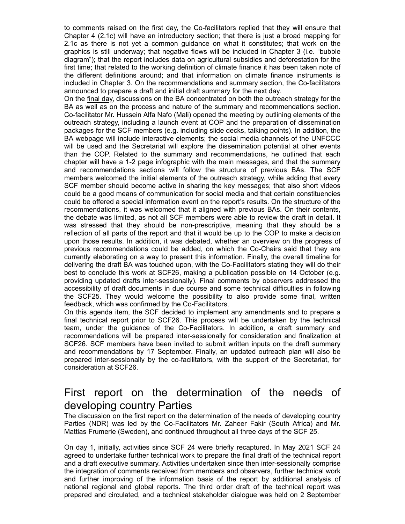to comments raised on the first day, the Co-facilitators replied that they will ensure that Chapter 4 (2.1c) will have an introductory section; that there is just a broad mapping for 2.1c as there is not yet a common guidance on what it constitutes; that work on the graphics is still underway; that negative flows will be included in Chapter 3 (i.e. "bubble diagram"); that the report includes data on agricultural subsidies and deforestation for the first time; that related to the working definition of climate finance it has been taken note of the different definitions around; and that information on climate finance instruments is included in Chapter 3. On the recommendations and summary section, the Co-facilitators announced to prepare a draft and initial draft summary for the next day.

On the final day, discussions on the BA concentrated on both the outreach strategy for the BA as well as on the process and nature of the summary and recommendations section. Co-facilitator Mr. Hussein Alfa Nafo (Mali) opened the meeting by outlining elements of the outreach strategy, including a launch event at COP and the preparation of dissemination packages for the SCF members (e.g. including slide decks, talking points). In addition, the BA webpage will include interactive elements; the social media channels of the UNFCCC will be used and the Secretariat will explore the dissemination potential at other events than the COP. Related to the summary and recommendations, he outlined that each chapter will have a 1-2 page infographic with the main messages, and that the summary to comments raised on the first day, the Co-facilitators replied that they will ensure that Carpore 4 (2.1c) will have an introductory section, that there is just a broad mapping for 2.1c as there is not yet a common guida members welcomed the initial elements of the outreach strategy, while adding that every SCF member should become active in sharing the key messages; that also short videos could be a good means of communication for social media and that certain constituencies could be offered a special information event on the report's results. On the structure of the recommendations, it was welcomed that it aligned with previous BAs. On their contents, the debate was limited, as not all SCF members were able to review the draft in detail. It yielvies is sin in chorewity, includes data on agricultural substides and deforestation for the first time; that related to the working definition of climate finance it has been taken note of the tifter different definitio reflection of all parts of the report and that it would be up to the COP to make a decision upon those results. In addition, it was debated, whether an overview on the progress of previous recommendations could be added, on which the Co-Chairs said that they are currently elaborating on a way to present this information. Finally, the overall timeline for delivering the draft BA was touched upon, with the Co-Facilitators stating they will do their best to conclude this work at SCF26, making a publication possible on 14 October (e.g. providing updated drafts inter-sessionally). Final comments by observers addressed the accessibility of draft documents in due course and some technical difficulties in following outward states of the SCF members is the social media of the section and the select model include interactive elements; the social media channels of the UNFCCC BA welcome that the COP. Related to the summary and recommenda feedback, which was confirmed by the Co-Facilitators. that the Co-Facilitator and the straining want technicalized to the strained reactions with the strained recommendeations sections will follow the structure of previous BAs. The SCF members welcomed the initial elements of was stressed that they should be non-prescriptive, meaning that they should be a prediction of all parts of the report and that it would be up to the COP to make a decision upon those results. In addition, it was debaded,

On this agenda item, the SCF decided to implement any amendments and to prepare a final technical report prior to SCF26. This process will be undertaken by the technical recommendations will be prepared inter-sessionally for consideration and finalization at SCF26. SCF members have been invited to submit written inputs on the draft summary and recommendations by 17 September. Finally, an updated outreach plan will also be prepared inter-sessionally by the co-facilitators, with the support of the Secretariat, for consideration at SCF26. not the interaction of the constrained throughout the technical reports the interview properties and the intervention further by the technical feam, under the guidance of the Co-Facilitators. In addition, a draft summary a

## developing country Parties

The discussion on the first report on the determination of the needs of developing country Parties (NDR) was led by the Co-Facilitators Mr. Zaheer Fakir (South Africa) and Mr. Mattias Frumerie (Sweden), and continued throughout all three days of the SCF 25.

On day 1, initially, activities since SCF 24 were briefly recaptured. In May 2021 SCF 24 agreed to undertake further technical work to prepare the final draft of the technical report and a draft executive summary. Activities undertaken since then inter-sessionally comprise the integration of comments received from members and observers, further technical work national regional and global reports. The third order draft of the technical report was prepared and circulated, and a technical stakeholder dialogue was held on 2 September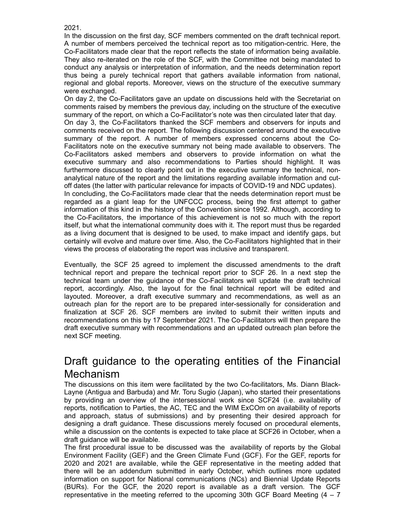2021.

In the discussion on the first day, SCF members commented on the draft technical report. A number of members perceived the technical report as too mitigation-centric. Here, the Co-Facilitators made clear that the report reflects the state of information being available. They also re-iterated on the role of the SCF, with the Committee not being mandated to conduct any analysis or interpretation of information, and the needs determination report 2021.<br>In the discussion on the first day, SCF members commented on the draft technical report.<br>A number of members perceived the technical report as too mitigation-centric. Here, the<br>Co-Facilitators made clear that the rep regional and global reports. Moreover, views on the structure of the executive summary were exchanged.

On day 2, the Co-Facilitators gave an update on discussions held with the Secretariat on comments raised by members the previous day, including on the structure of the executive summary of the report, on which a Co-Facilitator's note was then circulated later that day.

On day 3, the Co-Facilitators thanked the SCF members and observers for inputs and comments received on the report. The following discussion centered around the executive 2021.<br>In the discussion on the first day, SCF members commented on the draft technical report.<br>C-P-calitators made clear that the report reflects the state of information being available.<br>They also re-iterated on the role Facilitators note on the executive summary not being made available to observers. The 2021.<br>
An the discussion on the first day, SCF members commented on the draft technical report.<br>
A number of members perceived the technical report as too mitigation-centric. Here, the<br>
A number of members perceived the te 2021.<br>
All the discussion on the first day, SCF members commented on the draft technical report.<br>
A number of members perceived the technical report as too mitigation-centric. Here, the<br>
A co-Facilitators made clear that t furthermore discussed to clearly point out in the executive summary the technical, nonanalytical nature of the report and the limitations regarding available information and cutoff dates (the latter with particular relevance for impacts of COVID-19 and NDC updates). In concluding, the Co-Facilitators made clear that the needs determination report must be regarded as a giant leap for the UNFCCC process, being the first attempt to gather information of this kind in the history of the Convention since 1992. Although, according to the Co-Facilitators, the importance of this achievement is not so much with the report itself, but what the international community does with it. The report must thus be regarded even existing the method of data proportion of the previous day. Including on the structure of the executive summary of the report, on which a Co-Facilitator's note was then criculated later that day. Summary of the report animmal or care report, and with the peport mean sole and and the section and the section and the section and the section and the section and the section of the report. The following discussion centered around the executiv summary or the rispant. The minimizer of the members are concerned to abservers. The Go-Facilitators anked members and observers to provide information on what the Ce-Tacilitators are developed to detaily point out in the

as a living document that is designed to be used, to make impact and identify gaps, but certainly will evolve and mature over time. Also, the Co-Facilitators highlighted that in their views the process of elaborating the report was inclusive and transparent.

technical report and prepare the technical report prior to SCF 26. In a next step the technical team under the guidance of the Co-Facilitators will update the draft technical layouted. Moreover, a draft executive summary and recommendations, as well as an outreach plan for the report are to be prepared inter-sessionally for consideration and recommendations on this by 17 September 2021. The Co-Facilitators will then prepare the draft executive summary with recommendations and an updated outreach plan before the next SCF meeting. by the commentations on this item were from Also the intersession and the intersect in experiment that it is designed to be used, to make impact and identify gaps, but orise intersect interview and mature over time. Also, something the process of elaborating the report was inclusive and transparent.<br>
Eventually, the SCF 25 agreed to implement the discussed amendments to the draft<br>
technical report accordingly. Also, the layot for the final

### Draft guidance to the operating entities of the Financial Mechanism

The discussions on this item were facilitated by the two Co-facilitators, Ms. Diann Black-Layne (Antigua and Barbuda) and Mr. Toru Sugio (Japan), who started their presentations reports, notification to Parties, the AC, TEC and the WIM ExCOm on availability of reports designing a draft guidance. These discussions merely focused on procedural elements, while a discussion on the contents is expected to take place at SCF26 in October, when a draft guidance will be available. members). The GcF, the GCF, the GCF, the Co-Facilitators will then prepare the draft executive summary with recommendations and an updated outreach plan before the draft exective summary with recommendations and an updated

The first procedural issue to be discussed was the availability of reports by the Global Environment Facility (GEF) and the Green Climate Fund (GCF). For the GEF, reports for 2020 and 2021 are available, while the GEF representative in the meeting added that there will be an addendum submitted in early October, which outlines more updated information on support for National communications (NCs) and Biennial Update Reports representative in the meeting referred to the upcoming 30th GCF Board Meeting  $(4 - 7)$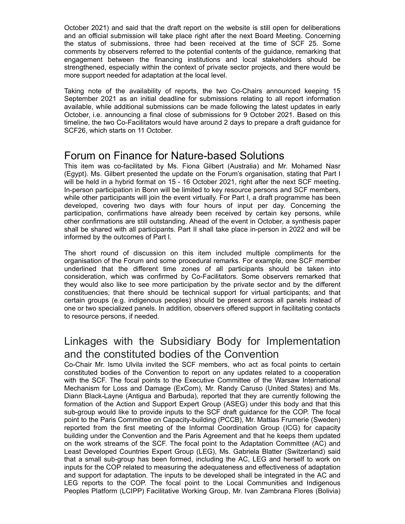October 2021) and said that the draft report on the website is still open for deliberations and an official submission will take place right after the next Board Meeting. Concerning October 2021) and said that the draft report on the website is still open for deliberations<br>and an official submission will take place right after the next Board Meeting. Concerning<br>the status of submissions, three had bee comments by observers referred to the potential contents of the guidance, remarking that October 2021) and said that the draft report on the website is still open for deliberations<br>and an official submission will take place right after the next Board Meeting. Concerning<br>the status of submissions, three had bee strengthened, especially within the context of private sector projects, and there would be more support needed for adaptation at the local level. October 2021) and said that the draft report on the website is still open for deliberations<br>and an official submission will take place right after the next Board Meeting. Concerning<br>the status of submissions, three had bee October 2021) and said that the draft report on the website is still open for deliberations<br>and an official submission will take place right affer the next Board Meeting. Concerning<br>the status of submissions, three had bee

September 2021 as an initial deadline for submissions relating to all report information available, while additional submissions can be made following the latest updates in early October, i.e. announcing a final close of submissions for 9 October 2021. Based on this timeline, the two Co-Facilitators would have around 2 days to prepare a draft guidance for SCF26, which starts on 11 October.

#### Forum on Finance for Nature-based Solutions

(Egypt). Ms. Gilbert presented the update on the Forum's organisation, stating that Part I will be held in a hybrid format on 15 - 16 October 2021, right after the next SCF meeting. In-person participation in Bonn will be limited to key resource persons and SCF members, while other participants will join the event virtually. For Part I, a draft programme has been and an official submission will take place right after the next Board Meeting. Concerning the place right after the position, the per day between served to the position engers are engered to the position engers are engered participation, confirmations have already been received by certain key persons, while other confirmations are still outstanding. Ahead of the event in October, a synthesis paper shall be shared with all participants. Part II shall take place in-person in 2022 and will be informed by the outcomes of Part I. Taking note of the availability of reports, the two Co-Chairs announced keeping 15<br>Seytember 2021 as an initial deadline for submissions relating to all report information<br>available, while additional submissions can be mad September 2021 as an initial deadline for submissions relating to all report information<br>available, while additional submissions can be made following the latest updates in early<br>October, i.e. announcing a final close of s (Egypt)). Ms. Gillert presented the update on the Forum's organisation, stating that Part (Egypt), Ms. Gillert presented the update on the Forum's organisation, stating that Part (In-person participation in Bonn will be li

organisation of the Forum and some procedural remarks. For example, one SCF member consideration, which was confirmed by Co-Facilitators. Some observers remarked that they would also like to see more participation by the private sector and by the different constituencies; that there should be technical support for virtual participants; and that certain groups (e.g. indigenous peoples) should be present across all panels instead of one or two specialized panels. In addition, observers offered support in facilitating contacts to resource persons, if needed.

# and the constituted bodies of the Convention

Co-Chair Mr. Ismo Ulvila invited the SCF members, who act as focal points to certain constituted bodies of the Convention to report on any updates related to a cooperation with the SCF. The focal points to the Executive Committee of the Warsaw International Mechanism for Loss and Damage (ExCom), Mr. Randy Caruso (United States) and Ms. Diann Black-Layne (Antigua and Barbuda), reported that they are currently following the formation of the Action and Support Expert Group (ASEG) under this body and that this sub-group would like to provide inputs to the SCF draft guidance for the COP. The focal point to the Paris Committee on Capacity-building (PCCB), Mr. Mattias Frumerie (Sweden) reported from the first meeting of the Informal Coordination Group (ICG) for capacity building under the Convention and the Paris Agreement and that he keeps them updated on the work streams of the SCF. The focal point to the Adaptation Committee (AC) and Least Developed Countries Expert Group (LEG), Ms. Gabriela Blatter (Switzerland) said that a small sub-group has been formed, including the AC, LEG and herself to work on inputs for the COP related to measuring the adequateness and effectiveness of adaptation and support for adaptation. The inputs to be developed shall be integrated in the AC and to resource persons, if meddel.<br>Linkages with the Subsidiary Body for Implementation<br>and the constituted bodies of the Convention<br>Co-chair Mr. Ismo Ulvila invited the SCF members, who act as focal points to certain<br>constit Peoples Platform (LCIPP) Facilitative Working Group, Mr. Ivan Zambrana Flores (Bolivia)